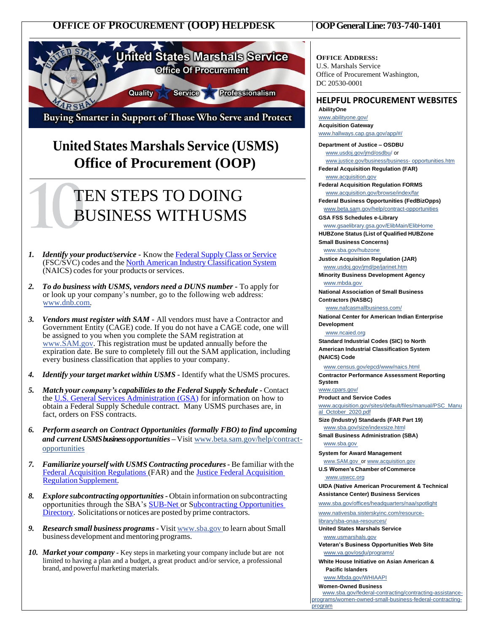



Buying Smarter in Support of Those Who Serve and Protect

## **United States Marshals Service (USMS) Office of Procurement (OOP)**

# TEN STEPS TO DOING BUSINESS WITHUSMS

- *1. Identify your product/service -* Know the [Federal](https://www.gsa.gov/cdnstatic/4%20-%20PPDS%20FSC%20Best%20Practice%20508.docx) Supply Class or Service (FSC/SVC) codes and the North American Industry [Classification](http://www.census.gov/naics/) System (NAICS) codes for your products or services.
- *2. To do business with USMS, vendors need a DUNS number -* To apply for or look up your company's number, go to the following web address: [www.dnb.com.](http://www.dnb.com/)
- *3. Vendors must register with SAM -* All vendors must have a Contractor and Government Entity (CAGE) code. If you do not have a CAGE code, one will be assigned to you when you complete the SAM registration at [www.SAM.gov.](http://www.sam.gov/) This registration must be updated annually before the expiration date. Be sure to completely fill out the SAM application, including every business classification that applies to your company.
- *4. Identify yourtarget market within USMS -* Identify what the USMS procures.
- *5. Match your company's capabilitiesto the Federal Supply Schedule -* Contact the [U.S. General Services Administration \(GSA\)](http://www.gsa.gov/portal/category/100611) for information on how to obtain a Federal Supply Schedule contract. Many USMS purchases are, in fact, orders on FSS contracts.
- *6. Perform asearch on Contract Opportunities (formally FBO) to find upcoming and current USMS business opportunities –* Visit [www.beta.sam.gov/help/contract](http://www.beta.sam.gov/help/contract-opportunities)[opportunities](http://www.beta.sam.gov/help/contract-opportunities)
- *7. Familiarize yourself with USMS Contracting procedures-* Be familiar with the [Federal Acquisition Regulations \(](http://www.acquisition.gov/)FAR) and th[e Justice Federal Acquisition](http://www.usdoj.gov/jmd/pe/jarinet.htm)  Regulation [Supplement.](http://www.usdoj.gov/jmd/pe/jarinet.htm)
- *8. Explore subcontracting opportunities -* Obtain information on subcontracting opportunities through the SBA's [SUB-Net o](http://web.sba.gov/subnet/search/index.cfm)r Subcontracting Opportunities [Directory.](http://www.sba.gov/category/navigation-%20%20structure/contracting/contracting-opportunities/sub-contracting/subcontracting-%20%20%20opportunities-directory) Solicitations or notices are posted by prime contractors.
- *9. Research small business programs -* Visit [www.sba.gov](http://www.sba.gov/) to learn about Small business development and mentoring programs.
- *10. Market your company -* Key stepsin marketing your company include but are not limited to having a plan and a budget, a great product and/or service, a professional brand, and powerful marketing materials.

**OFFICE ADDRESS:** U.S. Marshals Service Office of Procurement Washington, DC 20530-0001

#### **HELPFUL PROCUREMENT WEBSITES AbilityOne**

[www.abilityone.gov/](http://www.abilityone.gov/) **Acquisition Gateway**  [www.hallways.cap.gsa.gov/app/#/](http://www.hallways.cap.gsa.gov/app/#/)

**Department of Justice – OSDBU**  [www.usdoj.gov/jmd/osdbu/](http://www.usdoj.gov/jmd/osdbu/) or [www.justice.gov/business/business-](http://www.justice.gov/business/business-) [opportunities.htm](http://www.justice.gov/business/business-opportunities.htm) **Federal Acquisition Regulation (FAR)**

[www.acquisition.gov](http://www.acquisition.gov/) **Federal Acquisition Regulation FORMS**

[www.acquisition.gov/browse/index/far](http://www.acquisition.gov/browse/index/far)

**Federal Business Opportunities (FedBizOpps)** [www.beta.sam.gov/help/contract-opportunities](http://www.beta.sam.gov/help/contract-opportunities)

**GSA FSS Schedules e-Library**

[www.gsaelibrary.gsa.gov/ElibMain/ElibHome](http://www.gsaelibrary.gsa.gov/ElibMain/ElibHome) **HUBZone Status (List of Qualified HUBZone** 

**Small Business Concerns)**

[www.sba.gov/hubzone](http://www.sba.gov/hubzone) **Justice Acquisition Regulation (JAR)**

[www.usdoj.gov/jmd/pe/jarinet.htm](http://www.usdoj.gov/jmd/pe/jarinet.htm) **Minority Business Development Agency**

[www.mbda.gov](http://www.mbda.gov/) **National Association of Small Business** 

**Contractors (NASBC)** [www.nafcasmallbusiness.com/](http://www.nafcasmallbusiness.com/)

**National Center for American Indian Enterprise Development**

[www.ncaied.org](http://www.ncaied.org/)

**Standard Industrial Codes (SIC) to North American Industrial Classification System (NAICS) Code**

[www.census.gov/epcd/www/naics.html](http://www.census.gov/epcd/www/naics.html) **Contractor Performance Assessment Reporting**

**System**

[www.cpars.gov/](http://www.cpars.gov/) **Product and Service Codes**

[www.acquisition.gov/sites/default/files/manual/PSC\\_Manu](http://www.acquisition.gov/sites/default/files/manual/PSC_Manual_October_2020.pdf) [al\\_October\\_2020.pdf](http://www.acquisition.gov/sites/default/files/manual/PSC_Manual_October_2020.pdf)

**Size (Industry) Standards (FAR Part 19)** [www.sba.gov/size/indexsize.html](http://www.sba.gov/size/indexsize.html)

**Small Business Administration (SBA)** [www.sba.gov](http://www.sba.gov/)

**System for Award Management** www.SAM.gov\_o[r www.acquisition.gov](http://www.acquisition.gov/)

**U.S Women's Chamber of Commerce** [www.uswcc.org](http://www.uswcc.org/)

**UIDA (Native American Procurement & Technical Assistance Center) Business Services** 

[www.sba.gov/offices/headquarters/naa/spotlight](http://www.sba.gov/offices/headquarters/naa/spotlight)

[www.nativesba.sisterskyinc.com/resource](http://www.nativesba.sisterskyinc.com/resource-library/sba-onaa-resources/)[library/sba-onaa-resources/](http://www.nativesba.sisterskyinc.com/resource-library/sba-onaa-resources/)

**United States Marshals Service** [www.usmarshals.gov](http://www.usmarshals.gov/)

**Veteran's Business Opportunities Web Site** [www.va.gov/osdu/programs/](http://www.va.gov/osdu/programs/)

**White House Initiative on Asian American & Pacific Islanders**

[www.Mbda.gov/WHIAAPI](https://www.mbda.gov/WHIAAPI)

Ï

**Women-Owned Business** [www.sba.gov/federal-contracting/contracting-assistance](http://www.sba.gov/federal-contracting/contracting-assistance-programs/women-owned-small-business-federal-contracting-program)[programs/women-owned-small-business-federal-contracting](http://www.sba.gov/federal-contracting/contracting-assistance-programs/women-owned-small-business-federal-contracting-program)[program](http://www.sba.gov/federal-contracting/contracting-assistance-programs/women-owned-small-business-federal-contracting-program)